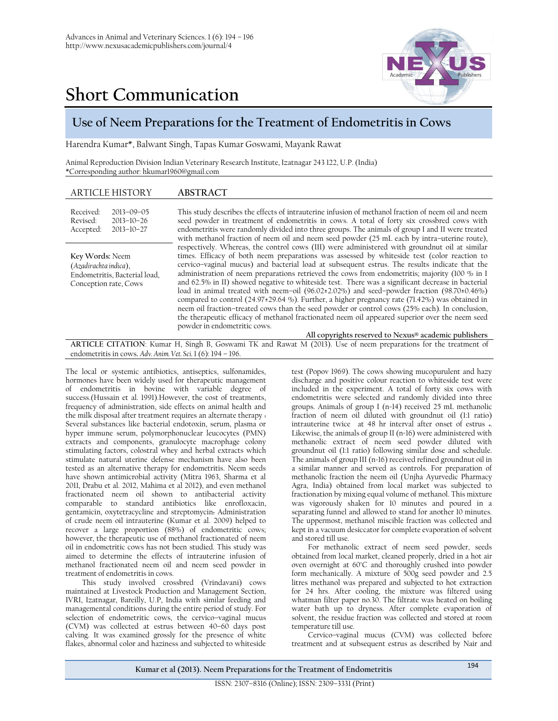



## **Use of Neem Preparations for the Treatment of Endometritis in Cows**

Harendra Kumar\*, Balwant Singh, Tapas Kumar Goswami, Mayank Rawat

Animal Reproduction Division Indian Veterinary Research Institute, Izatnagar 243 122, U.P. (India) \*Corresponding author: [hkumar1960@gmail.com](mailto:hkumar1960@gmail.com)

| Received:<br>This study describes the effects of intrauterine infusion of methanol fraction of neem oil and neem<br>$2013 - 09 - 05$<br>Revised:<br>seed powder in treatment of endometritis in cows. A total of forty six crossbred cows with<br>$2013 - 10 - 26$<br>endometritis were randomly divided into three groups. The animals of group I and II were treated<br>$2013 - 10 - 27$<br>Accepted: |                                                                                                                                                                                                                                                                                                                                                                                                                                                                                                                                                                                                                                                                                                                                                                                                                                                                                                                           |
|---------------------------------------------------------------------------------------------------------------------------------------------------------------------------------------------------------------------------------------------------------------------------------------------------------------------------------------------------------------------------------------------------------|---------------------------------------------------------------------------------------------------------------------------------------------------------------------------------------------------------------------------------------------------------------------------------------------------------------------------------------------------------------------------------------------------------------------------------------------------------------------------------------------------------------------------------------------------------------------------------------------------------------------------------------------------------------------------------------------------------------------------------------------------------------------------------------------------------------------------------------------------------------------------------------------------------------------------|
| with methanol fraction of neem oil and neem seed powder (25 mL each by intra-uterine route),                                                                                                                                                                                                                                                                                                            |                                                                                                                                                                                                                                                                                                                                                                                                                                                                                                                                                                                                                                                                                                                                                                                                                                                                                                                           |
| Key Words: Neem<br>(Azadirachta indica),<br>Endometritis, Bacterial load,<br>Conception rate, Cows<br>powder in endometritic cows.<br>All copyrights reserved to Nexus® academic publishers                                                                                                                                                                                                             | respectively. Whereas, the control cows (III) were administered with groundnut oil at similar<br>times. Efficacy of both neem preparations was assessed by whiteside test (color reaction to<br>cervico-vaginal mucus) and bacterial load at subsequent estrus. The results indicate that the<br>administration of neem preparations retrieved the cows from endometritis; majority (100 $\%$ in I<br>and 62.5% in II) showed negative to whiteside test. There was a significant decrease in bacterial<br>load in animal treated with neem-oil $(96.02 \pm 2.02\%)$ and seed-powder fraction $(98.70 \pm 0.46\%)$<br>compared to control (24.97±29.64 %). Further, a higher pregnancy rate (71.42%) was obtained in<br>neem oil fraction-treated cows than the seed powder or control cows (25% each). In conclusion,<br>the therapeutic efficacy of methanol fractionated neem oil appeared superior over the neem seed |

**E CITATION**: Kumar H, Singh B, Goswami TK and Rawat M (2013). Use of neem preparations for the treatment of endometritis in cows**.** *Adv. Anim. Vet. Sci.* 1 (6): 194 – 196.

The local or systemic antibiotics, antiseptics, sulfonamides, hormones have been widely used for therapeutic management of endometritis in bovine with variable degree of success.(Hussain et al. 1991).However, the cost of treatments, frequency of administration, side effects on animal health and the milk disposal after treatment requires an alternate therapy . Several substances like bacterial endotoxin, serum, plasma or hyper immune serum, polymorphonuclear leucocytes (PMN) extracts and components, granulocyte macrophage colony stimulating factors, colostral whey and herbal extracts which stimulate natural uterine defense mechanism have also been tested as an alternative therapy for endometritis. Neem seeds have shown antimicrobial activity (Mitra 1963, Sharma et al 2011, Drabu et al. 2012, Mahima et al 2012), and even methanol fractionated neem oil shown to antibacterial activity comparable to standard antibiotics like enrofloxacin, gentamicin, oxytetracycline and streptomycin. Administration of crude neem oil intrauterine (Kumar et al. 2009) helped to recover a large proportion (88%) of endometritic cows; however, the therapeutic use of methanol fractionated of neem oil in endometritic cows has not been studied. This study was aimed to determine the effects of intrauterine infusion of methanol fractionated neem oil and neem seed powder in treatment of endometritis in cows.

This study involved crossbred (Vrindavani) cows maintained at Livestock Production and Management Section, IVRI, Izatnagar, Bareilly, U.P, India with similar feeding and managemental conditions during the entire period of study. For selection of endometritic cows, the cervico–vaginal mucus (CVM) was collected at estrus between 40–60 days post calving. It was examined grossly for the presence of white flakes, abnormal color and haziness and subjected to whiteside

test (Popov 1969). The cows showing mucopurulent and hazy discharge and positive colour reaction to whiteside test were included in the experiment. A total of forty six cows with endometritis were selected and randomly divided into three groups. Animals of group I (n=14) received 25 mL methanolic fraction of neem oil diluted with groundnut oil (1:1 ratio) intrauterine twice at 48 hr interval after onset of estrus .. Likewise, the animals of group II (n=16) were administered with methanolic extract of neem seed powder diluted with groundnut oil (1:1 ratio) following similar dose and schedule. The animals of group III (n=16) received refined groundnut oil in a similar manner and served as controls. For preparation of methanolic fraction the neem oil (Unjha Ayurvedic Pharmacy Agra, India) obtained from local market was subjected to fractionation by mixing equal volume of methanol. This mixture was vigorously shaken for 10 minutes and poured in a separating funnel and allowed to stand for another 10 minutes. The uppermost, methanol miscible fraction was collected and kept in a vacuum desiccator for complete evaporation of solvent and stored till use.

For methanolic extract of neem seed powder, seeds obtained from local market, cleaned properly, dried in a hot air oven overnight at 60˚C and thoroughly crushed into powder form mechanically. A mixture of 500g seed powder and 2.5 litres methanol was prepared and subjected to hot extraction for 24 hrs. After cooling, the mixture was filtered using whatman filter paper no.30. The filtrate was heated on boiling water bath up to dryness. After complete evaporation of solvent, the residue fraction was collected and stored at room temperature till use.

Cervico–vaginal mucus (CVM) was collected before treatment and at subsequent estrus as described by Nair and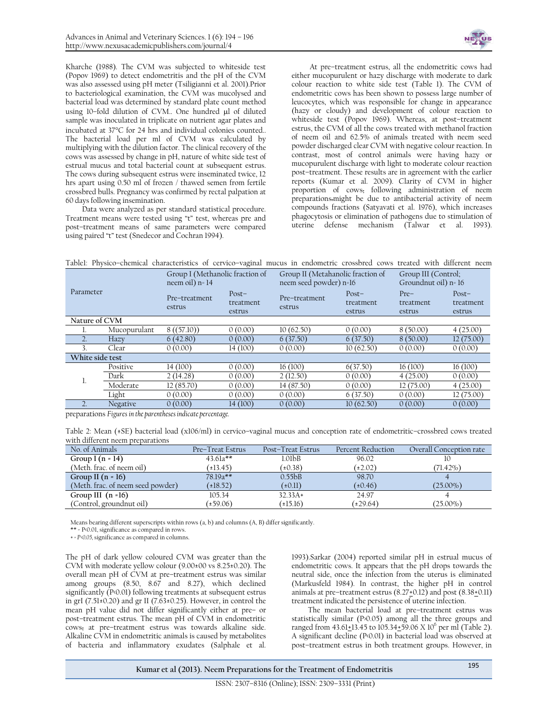

Kharche (1988). The CVM was subjected to whiteside test (Popov 1969) to detect endometritis and the pH of the CVM was also assessed using pH meter (Tsiligianni et al. 2001).Prior to bacteriological examination, the CVM was mucolysed and bacterial load was determined by standard plate count method using 10-fold dilution of CVM.. One hundred ul of diluted sample was inoculated in triplicate on nutrient agar plates and incubated at 37°C for 24 hrs and individual colonies counted.. The bacterial load per ml of CVM was calculated by multiplying with the dilution factor. The clinical recovery of the cows was assessed by change in pH, nature of white side test of estrual mucus and total bacterial count at subsequent estrus. The cows during subsequent estrus were inseminated twice, 12 hrs apart using 0.50 ml of frozen / thawed semen from fertile crossbred bulls. Pregnancy was confirmed by rectal palpation at 60 days following insemination.

Data were analyzed as per standard statistical procedure. Treatment means were tested using "t" test, whereas pre and post–treatment means of same parameters were compared using paired "t" test (Snedecor and Cochran 1994).

At pre–treatment estrus, all the endometritic cows had either mucopurulent or hazy discharge with moderate to dark colour reaction to white side test (Table 1). The CVM of endometritic cows has been shown to possess large number of leucocytes, which was responsible for change in appearance (hazy or cloudy) and development of colour reaction to whiteside test (Popov 1969). Whereas, at post–treatment estrus, the CVM of all the cows treated with methanol fraction of neem oil and 62.5% of animals treated with neem seed powder discharged clear CVM with negative colour reaction. In contrast, most of control animals were having hazy or mucopurulent discharge with light to moderate colour reaction post–treatment. These results are in agreement with the earlier reports (Kumar et al. 2009). Clarity of CVM in higher proportion of cows, following administration of neem preparations.might be due to antibacterial activity of neem compounds fractions (Satyavati et al. 1976), which increases phagocytosis or elimination of pathogens due to stimulation of uterine defense mechanism (Talwar et al. 1993).

| Tablel: Physico-chemical characteristics of cervico-vaginal mucus in endometric crossbred cows treated with different neem |  |
|----------------------------------------------------------------------------------------------------------------------------|--|
|----------------------------------------------------------------------------------------------------------------------------|--|

| Parameter       |              | Group I (Methanolic fraction of<br>neem oil) n= 14 |                                | Group II (Metahanolic fraction of<br>neem seed powder) n=16 |                                | Group III (Control;<br>Groundnut oil) n= 16 |                                |  |
|-----------------|--------------|----------------------------------------------------|--------------------------------|-------------------------------------------------------------|--------------------------------|---------------------------------------------|--------------------------------|--|
|                 |              | Pre-treatment<br>estrus                            | $Post-$<br>treatment<br>estrus | Pre-treatment<br>estrus                                     | $Post-$<br>treatment<br>estrus | $Pre-$<br>treatment<br>estrus               | $Post-$<br>treatment<br>estrus |  |
| Nature of CVM   |              |                                                    |                                |                                                             |                                |                                             |                                |  |
|                 | Mucopurulant | 8((57.10))                                         | 0(0.00)                        | 10(62.50)                                                   | 0(0.00)                        | 8(50.00)                                    | 4(25.00)                       |  |
|                 | Hazy         | 6(42.80)                                           | 0(0.00)                        | 6(37.50)                                                    | 6(37.50)                       | 8(50.00)                                    | 12(75.00)                      |  |
| 3               | Clear        | 0(0.00)                                            | 14(100)                        | 0(0.00)                                                     | 10(62.50)                      | 0(0.00)                                     | 0(0.00)                        |  |
| White side test |              |                                                    |                                |                                                             |                                |                                             |                                |  |
| ı.              | Positive     | 14(100)                                            | 0(0.00)                        | 16(100)                                                     | 6(37.50)                       | 16(100)                                     | 16(100)                        |  |
|                 | Dark         | 2(14.28)                                           | 0(0.00)                        | 2(12.50)                                                    | 0(0.00)                        | 4(25.00)                                    | 0(0.00)                        |  |
|                 | Moderate     | 12(85.70)                                          | 0(0.00)                        | 14 (87.50)                                                  | 0(0.00)                        | 12(75.00)                                   | 4(25.00)                       |  |
|                 | Light        | 0(0.00)                                            | 0(0.00)                        | 0(0.00)                                                     | 6(37.50)                       | 0(0.00)                                     | 12(75.00)                      |  |
|                 | Negative     | 0(0.00)                                            | 14(100)                        | 0(0.00)                                                     | 10(62.50)                      | 0(0.00)                                     | 0(0.00)                        |  |

preparations *Figures in the parentheses indicate percentage.*

Table 2: Mean (±SE) bacterial load (x106/ml) in cervico–vaginal mucus and conception rate of endometritic–crossbred cows treated with different neem preparations

| No. of Animals                    | Pre-Treat Estrus | Post-Treat Estrus   | Percent Reduction | Overall Conception rate |
|-----------------------------------|------------------|---------------------|-------------------|-------------------------|
| Group I $(n = 14)$                | $43.61a**$       | 1.01 <sub>b</sub> B | 96.02             |                         |
| (Meth. frac. of neem oil)         | $(\pm 13.45)$    | (10.38)             | $(\pm 2.02)$      | $(71.42\%)$             |
| Group II $(n = 16)$               | $78.19a***$      | 0.55 <sub>bB</sub>  | 98.70             |                         |
| (Meth. frac. of neem seed powder) | (±18.52)         | $(\pm 0.11)$        | (±0.46)           | $(25.00\%)$             |
| Group III $(n = 16)$              | 105.34           | $32.33A+$           | 24.97             |                         |
| (Control, groundnut oil)          | (±59.06)         | (15.16)             | (129.64)          | $(25.00\%)$             |

Means bearing different superscripts within rows (a, b) and columns (A, B) differ significantly.

\*\* = P<0.01, significance as compared in rows.

*+ = P<0.05,* significance as compared in columns.

The pH of dark yellow coloured CVM was greater than the CVM with moderate yellow colour (9.00±00 vs 8.25±0.20). The overall mean pH of CVM at pre–treatment estrus was similar among groups (8.50, 8.67 and 8.27), which declined significantly (P<0.01) following treatments at subsequent estrus in grI (7.51±0.20) and gr II (7.63±0.25). However, in control the mean pH value did not differ significantly either at pre– or post–treatment estrus. The mean pH of CVM in endometritic cows, at pre–treatment estrus was towards alkaline side. Alkaline CVM in endometritic animals is caused by metabolites of bacteria and inflammatory exudates (Salphale et al.

1993).Sarkar (2004) reported similar pH in estrual mucus of endometritic cows. It appears that the pH drops towards the neutral side, once the infection from the uterus is eliminated (Markusfeld 1984). In contrast, the higher pH in control animals at pre-treatment estrus  $(8.27 \pm 0.12)$  and post  $(8.38 \pm 0.11)$ treatment indicated the persistence of uterine infection.

The mean bacterial load at pre–treatment estrus was statistically similar (P>0.05) among all the three groups and ranged from 43.61+13.45 to 105.34+59.06 X 10<sup>6</sup> per ml (Table 2). A significant decline (P<0.01) in bacterial load was observed at post–treatment estrus in both treatment groups. However, in